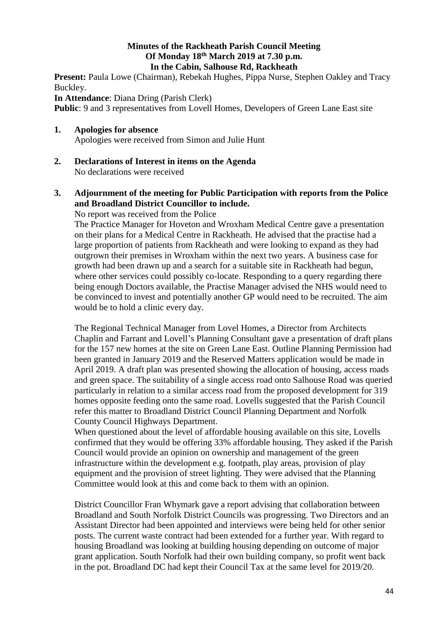### **Minutes of the Rackheath Parish Council Meeting Of Monday 18th March 2019 at 7.30 p.m. In the Cabin, Salhouse Rd, Rackheath**

Present: Paula Lowe (Chairman), Rebekah Hughes, Pippa Nurse, Stephen Oakley and Tracy Buckley.

**In Attendance**: Diana Dring (Parish Clerk)

**Public**: 9 and 3 representatives from Lovell Homes, Developers of Green Lane East site

# **1. Apologies for absence**

Apologies were received from Simon and Julie Hunt

**2. Declarations of Interest in items on the Agenda** No declarations were received

# **3. Adjournment of the meeting for Public Participation with reports from the Police and Broadland District Councillor to include.**

No report was received from the Police

The Practice Manager for Hoveton and Wroxham Medical Centre gave a presentation on their plans for a Medical Centre in Rackheath. He advised that the practise had a large proportion of patients from Rackheath and were looking to expand as they had outgrown their premises in Wroxham within the next two years. A business case for growth had been drawn up and a search for a suitable site in Rackheath had begun, where other services could possibly co-locate. Responding to a query regarding there being enough Doctors available, the Practise Manager advised the NHS would need to be convinced to invest and potentially another GP would need to be recruited. The aim would be to hold a clinic every day.

The Regional Technical Manager from Lovel Homes, a Director from Architects Chaplin and Farrant and Lovell's Planning Consultant gave a presentation of draft plans for the 157 new homes at the site on Green Lane East. Outline Planning Permission had been granted in January 2019 and the Reserved Matters application would be made in April 2019. A draft plan was presented showing the allocation of housing, access roads and green space. The suitability of a single access road onto Salhouse Road was queried particularly in relation to a similar access road from the proposed development for 319 homes opposite feeding onto the same road. Lovells suggested that the Parish Council refer this matter to Broadland District Council Planning Department and Norfolk County Council Highways Department.

When questioned about the level of affordable housing available on this site, Lovells confirmed that they would be offering 33% affordable housing. They asked if the Parish Council would provide an opinion on ownership and management of the green infrastructure within the development e.g. footpath, play areas, provision of play equipment and the provision of street lighting. They were advised that the Planning Committee would look at this and come back to them with an opinion.

District Councillor Fran Whymark gave a report advising that collaboration between Broadland and South Norfolk District Councils was progressing. Two Directors and an Assistant Director had been appointed and interviews were being held for other senior posts. The current waste contract had been extended for a further year. With regard to housing Broadland was looking at building housing depending on outcome of major grant application. South Norfolk had their own building company, so profit went back in the pot. Broadland DC had kept their Council Tax at the same level for 2019/20.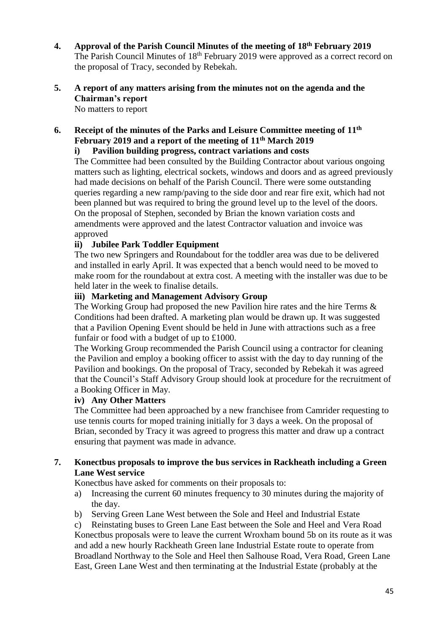**4. Approval of the Parish Council Minutes of the meeting of 18th February 2019** The Parish Council Minutes of 18<sup>th</sup> February 2019 were approved as a correct record on the proposal of Tracy, seconded by Rebekah.

# **5. A report of any matters arising from the minutes not on the agenda and the Chairman's report**

No matters to report

**6. Receipt of the minutes of the Parks and Leisure Committee meeting of 11th February 2019 and a report of the meeting of 11th March 2019** 

# **i) Pavilion building progress, contract variations and costs**

The Committee had been consulted by the Building Contractor about various ongoing matters such as lighting, electrical sockets, windows and doors and as agreed previously had made decisions on behalf of the Parish Council. There were some outstanding queries regarding a new ramp/paving to the side door and rear fire exit, which had not been planned but was required to bring the ground level up to the level of the doors. On the proposal of Stephen, seconded by Brian the known variation costs and amendments were approved and the latest Contractor valuation and invoice was approved

# **ii) Jubilee Park Toddler Equipment**

The two new Springers and Roundabout for the toddler area was due to be delivered and installed in early April. It was expected that a bench would need to be moved to make room for the roundabout at extra cost. A meeting with the installer was due to be held later in the week to finalise details.

#### **iii) Marketing and Management Advisory Group**

The Working Group had proposed the new Pavilion hire rates and the hire Terms & Conditions had been drafted. A marketing plan would be drawn up. It was suggested that a Pavilion Opening Event should be held in June with attractions such as a free funfair or food with a budget of up to £1000.

The Working Group recommended the Parish Council using a contractor for cleaning the Pavilion and employ a booking officer to assist with the day to day running of the Pavilion and bookings. On the proposal of Tracy, seconded by Rebekah it was agreed that the Council's Staff Advisory Group should look at procedure for the recruitment of a Booking Officer in May.

#### **iv) Any Other Matters**

The Committee had been approached by a new franchisee from Camrider requesting to use tennis courts for moped training initially for 3 days a week. On the proposal of Brian, seconded by Tracy it was agreed to progress this matter and draw up a contract ensuring that payment was made in advance.

#### **7. Konectbus proposals to improve the bus services in Rackheath including a Green Lane West service**

Konectbus have asked for comments on their proposals to:

- a) Increasing the current 60 minutes frequency to 30 minutes during the majority of the day.
- b) Serving Green Lane West between the Sole and Heel and Industrial Estate

c) Reinstating buses to Green Lane East between the Sole and Heel and Vera Road Konectbus proposals were to leave the current Wroxham bound 5b on its route as it was and add a new hourly Rackheath Green lane Industrial Estate route to operate from Broadland Northway to the Sole and Heel then Salhouse Road, Vera Road, Green Lane East, Green Lane West and then terminating at the Industrial Estate (probably at the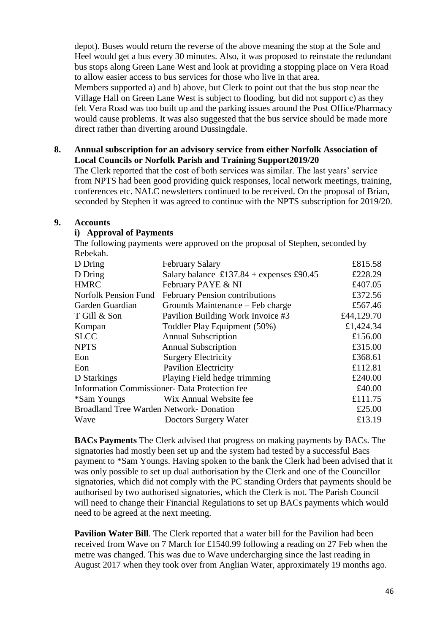depot). Buses would return the reverse of the above meaning the stop at the Sole and Heel would get a bus every 30 minutes. Also, it was proposed to reinstate the redundant bus stops along Green Lane West and look at providing a stopping place on Vera Road to allow easier access to bus services for those who live in that area. Members supported a) and b) above, but Clerk to point out that the bus stop near the Village Hall on Green Lane West is subject to flooding, but did not support c) as they felt Vera Road was too built up and the parking issues around the Post Office/Pharmacy would cause problems. It was also suggested that the bus service should be made more direct rather than diverting around Dussingdale.

#### **8. Annual subscription for an advisory service from either Norfolk Association of Local Councils or Norfolk Parish and Training Support2019/20**

The Clerk reported that the cost of both services was similar. The last years' service from NPTS had been good providing quick responses, local network meetings, training, conferences etc. NALC newsletters continued to be received. On the proposal of Brian, seconded by Stephen it was agreed to continue with the NPTS subscription for 2019/20.

#### **9. Accounts**

#### **i) Approval of Payments**

The following payments were approved on the proposal of Stephen, seconded by Rebekah.

| D Dring                                              | <b>February Salary</b>                     | £815.58    |
|------------------------------------------------------|--------------------------------------------|------------|
| D Dring                                              | Salary balance $£137.84 +$ expenses £90.45 | £228.29    |
| <b>HMRC</b>                                          | February PAYE & NI                         | £407.05    |
| Norfolk Pension Fund                                 | <b>February Pension contributions</b>      | £372.56    |
| Garden Guardian                                      | Grounds Maintenance – Feb charge           | £567.46    |
| T Gill & Son                                         | Pavilion Building Work Invoice #3          | £44,129.70 |
| Kompan                                               | Toddler Play Equipment (50%)               | £1,424.34  |
| <b>SLCC</b>                                          | <b>Annual Subscription</b>                 | £156.00    |
| <b>NPTS</b>                                          | <b>Annual Subscription</b>                 | £315.00    |
| Eon                                                  | <b>Surgery Electricity</b>                 | £368.61    |
| Eon                                                  | <b>Pavilion Electricity</b>                | £112.81    |
| D Starkings                                          | Playing Field hedge trimming               | £240.00    |
| <b>Information Commissioner- Data Protection fee</b> |                                            | £40.00     |
| *Sam Youngs                                          | Wix Annual Website fee                     | £111.75    |
| Broadland Tree Warden Network- Donation              |                                            | £25.00     |
| Wave                                                 | Doctors Surgery Water                      | £13.19     |
|                                                      |                                            |            |

**BACs Payments** The Clerk advised that progress on making payments by BACs. The signatories had mostly been set up and the system had tested by a successful Bacs payment to \*Sam Youngs. Having spoken to the bank the Clerk had been advised that it was only possible to set up dual authorisation by the Clerk and one of the Councillor signatories, which did not comply with the PC standing Orders that payments should be authorised by two authorised signatories, which the Clerk is not. The Parish Council will need to change their Financial Regulations to set up BACs payments which would need to be agreed at the next meeting.

**Pavilion Water Bill**. The Clerk reported that a water bill for the Pavilion had been received from Wave on 7 March for £1540.99 following a reading on 27 Feb when the metre was changed. This was due to Wave undercharging since the last reading in August 2017 when they took over from Anglian Water, approximately 19 months ago.